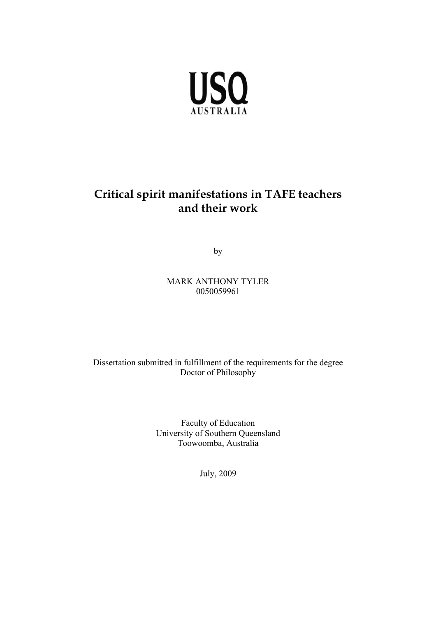

### **Critical spirit manifestations in TAFE teachers and their work**

by

MARK ANTHONY TYLER 0050059961

Dissertation submitted in fulfillment of the requirements for the degree Doctor of Philosophy

> Faculty of Education University of Southern Queensland Toowoomba, Australia

> > July, 2009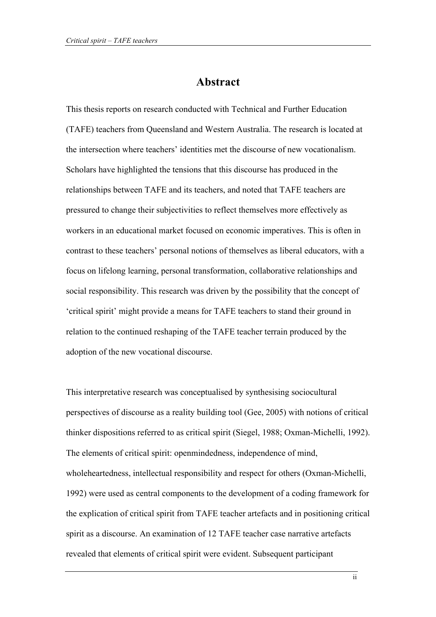#### **Abstract**

This thesis reports on research conducted with Technical and Further Education (TAFE) teachers from Queensland and Western Australia. The research is located at the intersection where teachers' identities met the discourse of new vocationalism. Scholars have highlighted the tensions that this discourse has produced in the relationships between TAFE and its teachers, and noted that TAFE teachers are pressured to change their subjectivities to reflect themselves more effectively as workers in an educational market focused on economic imperatives. This is often in contrast to these teachers' personal notions of themselves as liberal educators, with a focus on lifelong learning, personal transformation, collaborative relationships and social responsibility. This research was driven by the possibility that the concept of 'critical spirit' might provide a means for TAFE teachers to stand their ground in relation to the continued reshaping of the TAFE teacher terrain produced by the adoption of the new vocational discourse.

This interpretative research was conceptualised by synthesising sociocultural perspectives of discourse as a reality building tool (Gee, 2005) with notions of critical thinker dispositions referred to as critical spirit (Siegel, 1988; Oxman-Michelli, 1992). The elements of critical spirit: openmindedness, independence of mind, wholeheartedness, intellectual responsibility and respect for others (Oxman-Michelli, 1992) were used as central components to the development of a coding framework for the explication of critical spirit from TAFE teacher artefacts and in positioning critical spirit as a discourse. An examination of 12 TAFE teacher case narrative artefacts revealed that elements of critical spirit were evident. Subsequent participant

ii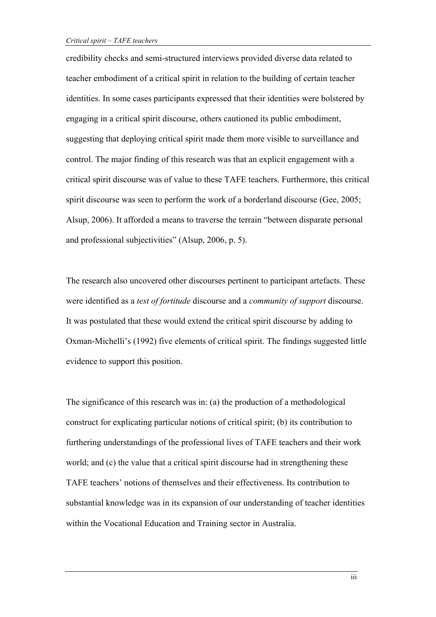credibility checks and semi-structured interviews provided diverse data related to teacher embodiment of a critical spirit in relation to the building of certain teacher identities. In some cases participants expressed that their identities were bolstered by engaging in a critical spirit discourse, others cautioned its public embodiment, suggesting that deploying critical spirit made them more visible to surveillance and control. The major finding of this research was that an explicit engagement with a critical spirit discourse was of value to these TAFE teachers. Furthermore, this critical spirit discourse was seen to perform the work of a borderland discourse (Gee, 2005; Alsup, 2006). It afforded a means to traverse the terrain "between disparate personal and professional subjectivities" (Alsup, 2006, p. 5).

The research also uncovered other discourses pertinent to participant artefacts. These were identified as a *test of fortitude* discourse and a *community of support* discourse. It was postulated that these would extend the critical spirit discourse by adding to Oxman-Michelli's (1992) five elements of critical spirit. The findings suggested little evidence to support this position.

The significance of this research was in: (a) the production of a methodological construct for explicating particular notions of critical spirit; (b) its contribution to furthering understandings of the professional lives of TAFE teachers and their work world; and (c) the value that a critical spirit discourse had in strengthening these TAFE teachers' notions of themselves and their effectiveness. Its contribution to substantial knowledge was in its expansion of our understanding of teacher identities within the Vocational Education and Training sector in Australia.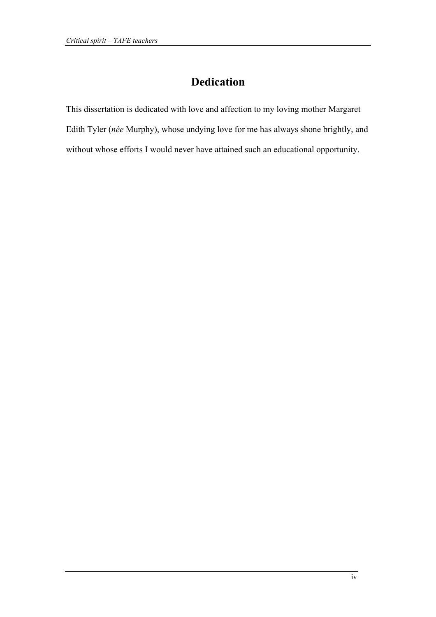## **Dedication**

This dissertation is dedicated with love and affection to my loving mother Margaret Edith Tyler (*née* Murphy), whose undying love for me has always shone brightly, and without whose efforts I would never have attained such an educational opportunity.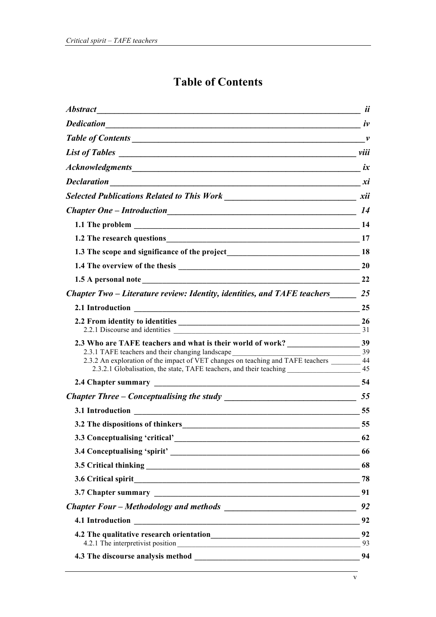# **Table of Contents**

| Abstract 1000 methods and the contract of the contract of the contract of the contract of the contract of the contract of the contract of the contract of the contract of the contract of the contract of the contract of the                                                                                                                   | <i>ii</i> |
|-------------------------------------------------------------------------------------------------------------------------------------------------------------------------------------------------------------------------------------------------------------------------------------------------------------------------------------------------|-----------|
| <b>Dedication</b><br>$\frac{1}{2}$ iv                                                                                                                                                                                                                                                                                                           |           |
|                                                                                                                                                                                                                                                                                                                                                 |           |
|                                                                                                                                                                                                                                                                                                                                                 |           |
|                                                                                                                                                                                                                                                                                                                                                 |           |
|                                                                                                                                                                                                                                                                                                                                                 |           |
|                                                                                                                                                                                                                                                                                                                                                 |           |
|                                                                                                                                                                                                                                                                                                                                                 |           |
|                                                                                                                                                                                                                                                                                                                                                 |           |
| 1.2 The research questions 17                                                                                                                                                                                                                                                                                                                   |           |
|                                                                                                                                                                                                                                                                                                                                                 |           |
|                                                                                                                                                                                                                                                                                                                                                 |           |
|                                                                                                                                                                                                                                                                                                                                                 | 22        |
| Chapter Two – Literature review: Identity, identities, and TAFE teachers 25                                                                                                                                                                                                                                                                     |           |
| 2.1 Introduction 25                                                                                                                                                                                                                                                                                                                             |           |
|                                                                                                                                                                                                                                                                                                                                                 |           |
| $\frac{1}{\sqrt{1-\frac{1}{2}}}\left  \frac{39}{2}\right $<br>2.3.1 TAFE teachers and their changing landscape _______________________________<br>2.3.2 An exploration of the impact of VET changes on teaching and TAFE teachers _______ 44<br>2.3.2.1 Globalisation, the state, TAFE teachers, and their teaching ________________________ 45 |           |
|                                                                                                                                                                                                                                                                                                                                                 |           |
|                                                                                                                                                                                                                                                                                                                                                 |           |
|                                                                                                                                                                                                                                                                                                                                                 | 55        |
| 3.2 The dispositions of thinkers 55                                                                                                                                                                                                                                                                                                             |           |
|                                                                                                                                                                                                                                                                                                                                                 | 62        |
|                                                                                                                                                                                                                                                                                                                                                 | 66        |
|                                                                                                                                                                                                                                                                                                                                                 |           |
| 3.6 Critical spirit 78                                                                                                                                                                                                                                                                                                                          |           |
|                                                                                                                                                                                                                                                                                                                                                 |           |
|                                                                                                                                                                                                                                                                                                                                                 |           |
| 4.1 Introduction 2022 02                                                                                                                                                                                                                                                                                                                        |           |
|                                                                                                                                                                                                                                                                                                                                                 |           |
|                                                                                                                                                                                                                                                                                                                                                 |           |
|                                                                                                                                                                                                                                                                                                                                                 |           |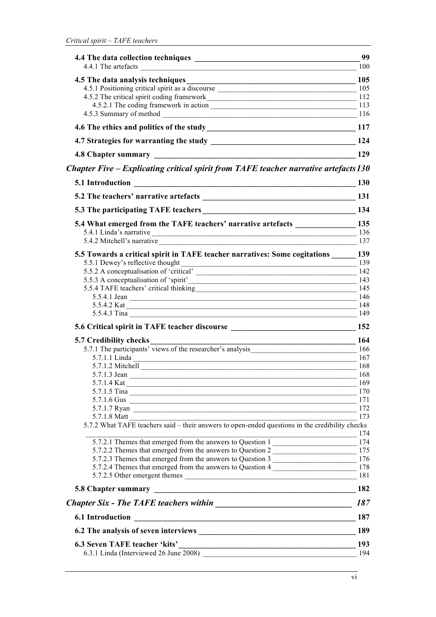|                                                                                                                                                                                                                                         | 99   |
|-----------------------------------------------------------------------------------------------------------------------------------------------------------------------------------------------------------------------------------------|------|
|                                                                                                                                                                                                                                         | 100  |
|                                                                                                                                                                                                                                         |      |
|                                                                                                                                                                                                                                         |      |
|                                                                                                                                                                                                                                         |      |
| 4.5.2.1 The coding framework in action 113                                                                                                                                                                                              |      |
|                                                                                                                                                                                                                                         |      |
|                                                                                                                                                                                                                                         |      |
|                                                                                                                                                                                                                                         |      |
|                                                                                                                                                                                                                                         |      |
| Chapter Five – Explicating critical spirit from TAFE teacher narrative artefacts 130                                                                                                                                                    |      |
|                                                                                                                                                                                                                                         | 130  |
|                                                                                                                                                                                                                                         |      |
| 5.3 The participating TAFE teachers 134                                                                                                                                                                                                 |      |
| 5.4 What emerged from the TAFE teachers' narrative artefacts __________________135                                                                                                                                                      |      |
| 5.4.1 Linda's narrative 136                                                                                                                                                                                                             |      |
| 5.4.2 Mitchell's narrative 137                                                                                                                                                                                                          |      |
| 5.5 Towards a critical spirit in TAFE teacher narratives: Some cogitations 139                                                                                                                                                          |      |
| 5.5.1 Dewey's reflective thought<br>$\frac{139}{2}$                                                                                                                                                                                     |      |
| 5.5.2 A conceptualisation of 'critical' 142                                                                                                                                                                                             |      |
| 5.5.3 A conceptualisation of 'spirit' 143<br>5.5.4 TAFE teachers' critical thinking 145                                                                                                                                                 |      |
| 5.5.4.1 Jean 146                                                                                                                                                                                                                        |      |
| 5.5.4.2 Kat                                                                                                                                                                                                                             | 148  |
|                                                                                                                                                                                                                                         | 149  |
| 5.6 Critical spirit in TAFE teacher discourse ___________________________________ 152                                                                                                                                                   |      |
| <b>5.7 Credibility checks</b>                                                                                                                                                                                                           |      |
| 7 Credibility checks 164<br>5.7.1 The participants' views of the researcher's analysis 166                                                                                                                                              |      |
|                                                                                                                                                                                                                                         | 167  |
|                                                                                                                                                                                                                                         | 168  |
| 5.7.1.3 Jean                                                                                                                                                                                                                            | -168 |
| 5.7.1.4 Kat                                                                                                                                                                                                                             | 169  |
|                                                                                                                                                                                                                                         | 170  |
|                                                                                                                                                                                                                                         |      |
| 5.7.1.7 Ryan 172                                                                                                                                                                                                                        |      |
| 5.7.1.8 Matt<br><u> 1989 - Andrea State Barbara, amerikan bahasa di sebagai perangan bagian perangan dan bagian perangan dan bag</u><br>5.7.2 What TAFE teachers said – their answers to open-ended questions in the credibility checks | 173  |
|                                                                                                                                                                                                                                         | 174  |
| 5.7.2.1 Themes that emerged from the answers to Question 1                                                                                                                                                                              |      |
| 5.7.2.2 Themes that emerged from the answers to Question 2                                                                                                                                                                              |      |
| 5.7.2.3 Themes that emerged from the answers to Question 3                                                                                                                                                                              |      |
| 5.7.2.4 Themes that emerged from the answers to Question 4                                                                                                                                                                              |      |
|                                                                                                                                                                                                                                         |      |
|                                                                                                                                                                                                                                         |      |
|                                                                                                                                                                                                                                         | 187  |
| <u> 1980 - Johann Stoff, deutscher Stoffen und der Stoffen und der Stoffen und der Stoffen und der Stoffen und der</u><br><b>6.1 Introduction</b>                                                                                       | 187  |
|                                                                                                                                                                                                                                         | 189  |
| <b>6.3 Seven TAFE teacher 'kits'</b>                                                                                                                                                                                                    | 193  |
|                                                                                                                                                                                                                                         | 194  |
|                                                                                                                                                                                                                                         |      |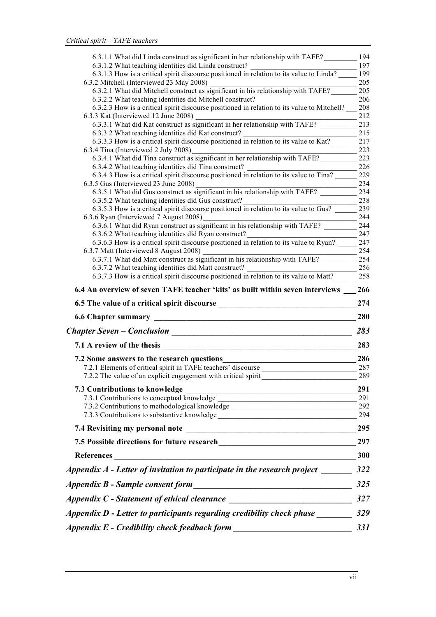| 6.3.1.1 What did Linda construct as significant in her relationship with TAFE?                                                                                                                                                 | 194        |
|--------------------------------------------------------------------------------------------------------------------------------------------------------------------------------------------------------------------------------|------------|
| 6.3.1.2 What teaching identities did Linda construct? __________________________                                                                                                                                               | 197        |
| 6.3.1.3 How is a critical spirit discourse positioned in relation to its value to Linda?                                                                                                                                       | 199<br>205 |
| 6.3.2 Mitchell (Interviewed 23 May 2008)<br>6.3.2.1 What did Mitchell construct as significant in his relationship with TAFE?                                                                                                  | 205        |
| 6.3.2.2 What teaching identities did Mitchell construct?                                                                                                                                                                       | 206        |
| 6.3.2.3 How is a critical spirit discourse positioned in relation to its value to Mitchell?                                                                                                                                    | 208        |
| 6.3.3 Kat (Interviewed 12 June 2008)                                                                                                                                                                                           | 212        |
| 6.3.3.1 What did Kat construct as significant in her relationship with TAFE?                                                                                                                                                   | 213        |
| 6.3.3.2 What teaching identities did Kat construct?<br>6.3.3.3 How is a critical spirit discourse positioned in relation to its value to Kat?                                                                                  | 215<br>217 |
| 6.3.4 Tina (Interviewed 2 July 2008)                                                                                                                                                                                           | 223        |
| 6.3.4.1 What did Tina construct as significant in her relationship with TAFE?                                                                                                                                                  | 223        |
| 6.3.4.2 What teaching identities did Tina construct?                                                                                                                                                                           | 226        |
| 6.3.4.2 What teaching identities did Tina construct?<br>6.3.4.3 How is a critical spirit discourse positioned in relation to its value to Tina?                                                                                | 229        |
| 6.3.5 Gus (Interviewed 23 June 2008)<br>$-1.5$ Gus (Interviewed 23 June 2008)<br>6.3.5.1 What did Gus construct as significant in his relationship with TAFE?                                                                  | 234        |
|                                                                                                                                                                                                                                | 234        |
| 6.3.5.2 What teaching identities did Gus construct?<br>6.3.5.2 What teaching identities did Gus construct?<br>6.3.5.3 How is a critical spirit discourse positioned in relation to its value to Gus?                           | 238<br>239 |
| 6.3.6 Ryan (Interviewed 7 August 2008)                                                                                                                                                                                         | 244        |
| 6.3.6.1 What did Ryan construct as significant in his relationship with TAFE?                                                                                                                                                  | 244        |
| 6.3.6.2 What teaching identities did Ryan construct?                                                                                                                                                                           | 247        |
| 6.3.6.2 What teaching identities did Ryan construct?<br>6.3.6.3 How is a critical spirit discourse positioned in relation to its value to Ryan?                                                                                | 247        |
|                                                                                                                                                                                                                                | 254        |
| 6.3.7.1 What did Matt construct as significant in his relationship with TAFE?                                                                                                                                                  | 254        |
| 6.3.7.2 What teaching identities did Matt construct? ___________________________<br>6.3.7.3 How is a critical spirit discourse positioned in relation to its value to Matt?                                                    | 256<br>258 |
|                                                                                                                                                                                                                                |            |
| 6.4 An overview of seven TAFE teacher 'kits' as built within seven interviews                                                                                                                                                  | 266        |
| 6.5 The value of a critical spirit discourse                                                                                                                                                                                   | 274        |
| 6.6 Chapter summary experience of the contract of the contract of the contract of the contract of the contract of the contract of the contract of the contract of the contract of the contract of the contract of the contract | 280        |
|                                                                                                                                                                                                                                |            |
| <u> 1980 - Johann Barbara, martxa alemaniar a</u>                                                                                                                                                                              | 283        |
| 7.1 A review of the thesis                                                                                                                                                                                                     | 283        |
| 7.2 Some answers to the research questions                                                                                                                                                                                     | 286        |
| 7.2.1 Elements of critical spirit in TAFE teachers' discourse                                                                                                                                                                  | 287        |
| 7.2.2 The value of an explicit engagement with critical spirit                                                                                                                                                                 | 289        |
|                                                                                                                                                                                                                                | 291        |
| 7.3 Contributions to knowledge                                                                                                                                                                                                 | 291        |
| 7.3.2 Contributions to methodological knowledge ________________________________                                                                                                                                               | 292        |
|                                                                                                                                                                                                                                | 294        |
|                                                                                                                                                                                                                                |            |
| <b>Chapter Seven – Conclusion</b>                                                                                                                                                                                              | 297        |
|                                                                                                                                                                                                                                |            |
|                                                                                                                                                                                                                                |            |
|                                                                                                                                                                                                                                |            |
| Appendix A - Letter of invitation to participate in the research project $\frac{1}{2}$ 322                                                                                                                                     | 325        |
|                                                                                                                                                                                                                                |            |
| Appendix D - Letter to participants regarding credibility check phase __________ 329<br>Appendix E - Credibility check feedback form ___________________________________                                                       | 331        |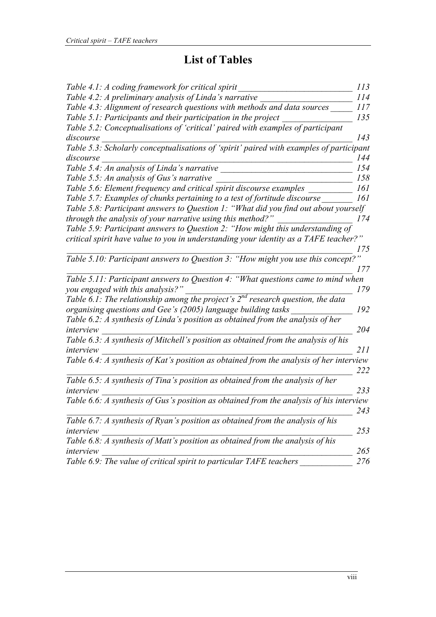## **List of Tables**

| Table 4.1: A coding framework for critical spirit                                                                                                 | 113 |
|---------------------------------------------------------------------------------------------------------------------------------------------------|-----|
| Table 4.2: A preliminary analysis of Linda's narrative                                                                                            | 114 |
| Table 4.3: Alignment of research questions with methods and data sources                                                                          | 117 |
| Table 5.1: Participants and their participation in the project                                                                                    | 135 |
| Table 5.2: Conceptualisations of 'critical' paired with examples of participant                                                                   |     |
| discourse                                                                                                                                         | 143 |
| Table 5.3: Scholarly conceptualisations of 'spirit' paired with examples of participant                                                           |     |
| discourse                                                                                                                                         | 144 |
| Table 5.4: An analysis of Linda's narrative                                                                                                       | 154 |
| Table 5.5: An analysis of Gus's narrative                                                                                                         | 158 |
| Table 5.6: Element frequency and critical spirit discourse examples                                                                               | 161 |
| Table 5.7: Examples of chunks pertaining to a test of fortitude discourse                                                                         | 161 |
| Table 5.8: Participant answers to Question 1: "What did you find out about yourself<br>through the analysis of your narrative using this method?" | 174 |
| Table 5.9: Participant answers to Question 2: "How might this understanding of                                                                    |     |
| critical spirit have value to you in understanding your identity as a TAFE teacher?"                                                              | 175 |
| Table 5.10: Participant answers to Question 3: "How might you use this concept?"                                                                  | 177 |
| Table 5.11: Participant answers to Question 4: "What questions came to mind when<br>you engaged with this analysis?"                              | 179 |
| Table 6.1: The relationship among the project's $2^{nd}$ research question, the data                                                              |     |
| organising questions and Gee's (2005) language building tasks                                                                                     | 192 |
| Table 6.2: A synthesis of Linda's position as obtained from the analysis of her<br>interview                                                      | 204 |
| Table 6.3: A synthesis of Mitchell's position as obtained from the analysis of his<br>interview                                                   | 211 |
| Table 6.4: A synthesis of Kat's position as obtained from the analysis of her interview                                                           | 222 |
| Table $6.5$ : A synthesis of Tina's position as obtained from the analysis of her<br>interview                                                    | 233 |
| Table 6.6: A synthesis of Gus's position as obtained from the analysis of his interview                                                           | 243 |
| Table 6.7: A synthesis of Ryan's position as obtained from the analysis of his<br>interview                                                       | 253 |
| Table 6.8: A synthesis of Matt's position as obtained from the analysis of his<br>interview                                                       | 265 |
| Table 6.9: The value of critical spirit to particular TAFE teachers                                                                               | 276 |
|                                                                                                                                                   |     |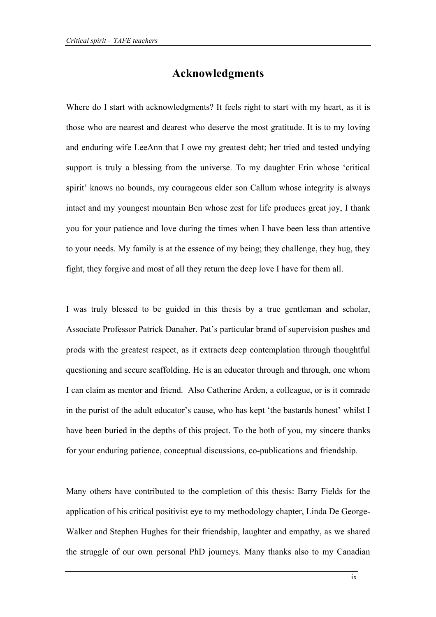#### **Acknowledgments**

Where do I start with acknowledgments? It feels right to start with my heart, as it is those who are nearest and dearest who deserve the most gratitude. It is to my loving and enduring wife LeeAnn that I owe my greatest debt; her tried and tested undying support is truly a blessing from the universe. To my daughter Erin whose 'critical spirit' knows no bounds, my courageous elder son Callum whose integrity is always intact and my youngest mountain Ben whose zest for life produces great joy, I thank you for your patience and love during the times when I have been less than attentive to your needs. My family is at the essence of my being; they challenge, they hug, they fight, they forgive and most of all they return the deep love I have for them all.

I was truly blessed to be guided in this thesis by a true gentleman and scholar, Associate Professor Patrick Danaher. Pat's particular brand of supervision pushes and prods with the greatest respect, as it extracts deep contemplation through thoughtful questioning and secure scaffolding. He is an educator through and through, one whom I can claim as mentor and friend. Also Catherine Arden, a colleague, or is it comrade in the purist of the adult educator's cause, who has kept 'the bastards honest' whilst I have been buried in the depths of this project. To the both of you, my sincere thanks for your enduring patience, conceptual discussions, co-publications and friendship.

Many others have contributed to the completion of this thesis: Barry Fields for the application of his critical positivist eye to my methodology chapter, Linda De George-Walker and Stephen Hughes for their friendship, laughter and empathy, as we shared the struggle of our own personal PhD journeys. Many thanks also to my Canadian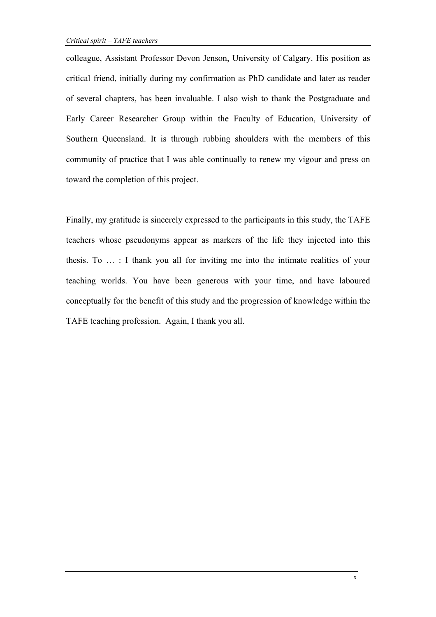colleague, Assistant Professor Devon Jenson, University of Calgary. His position as critical friend, initially during my confirmation as PhD candidate and later as reader of several chapters, has been invaluable. I also wish to thank the Postgraduate and Early Career Researcher Group within the Faculty of Education, University of Southern Queensland. It is through rubbing shoulders with the members of this community of practice that I was able continually to renew my vigour and press on toward the completion of this project.

Finally, my gratitude is sincerely expressed to the participants in this study, the TAFE teachers whose pseudonyms appear as markers of the life they injected into this thesis. To … : I thank you all for inviting me into the intimate realities of your teaching worlds. You have been generous with your time, and have laboured conceptually for the benefit of this study and the progression of knowledge within the TAFE teaching profession. Again, I thank you all.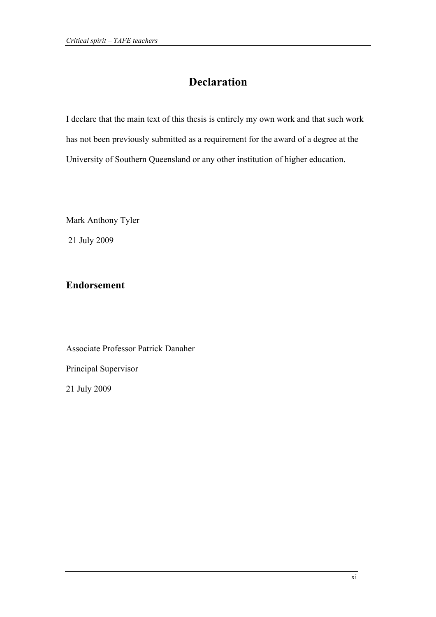### **Declaration**

I declare that the main text of this thesis is entirely my own work and that such work has not been previously submitted as a requirement for the award of a degree at the University of Southern Queensland or any other institution of higher education.

Mark Anthony Tyler 21 July 2009

#### **Endorsement**

Associate Professor Patrick Danaher Principal Supervisor

21 July 2009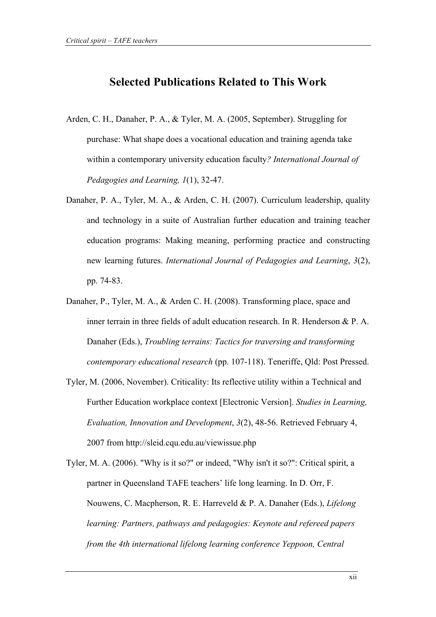#### **Selected Publications Related to This Work**

- Arden, C. H., Danaher, P. A., & Tyler, M. A. (2005, September). Struggling for purchase: What shape does a vocational education and training agenda take within a contemporary university education faculty*? International Journal of Pedagogies and Learning, 1*(1), 32-47.
- Danaher, P. A., Tyler, M. A., & Arden, C. H. (2007). Curriculum leadership, quality and technology in a suite of Australian further education and training teacher education programs: Making meaning, performing practice and constructing new learning futures. *International Journal of Pedagogies and Learning*, *3*(2), pp. 74-83.
- Danaher, P., Tyler, M. A., & Arden C. H. (2008). Transforming place, space and inner terrain in three fields of adult education research. In R. Henderson & P. A. Danaher (Eds.), *Troubling terrains: Tactics for traversing and transforming contemporary educational research* (pp. 107-118). Teneriffe, Qld: Post Pressed.
- Tyler, M. (2006, November). Criticality: Its reflective utility within a Technical and Further Education workplace context [Electronic Version]. *Studies in Learning, Evaluation, Innovation and Development*, *3*(2), 48-56. Retrieved February 4, 2007 from http://sleid.cqu.edu.au/viewissue.php
- Tyler, M. A. (2006). "Why is it so?" or indeed, "Why isn't it so?": Critical spirit, a partner in Queensland TAFE teachers' life long learning. In D. Orr, F. Nouwens, C. Macpherson, R. E. Harreveld & P. A. Danaher (Eds.), *Lifelong learning: Partners, pathways and pedagogies: Keynote and refereed papers from the 4th international lifelong learning conference Yeppoon, Central*